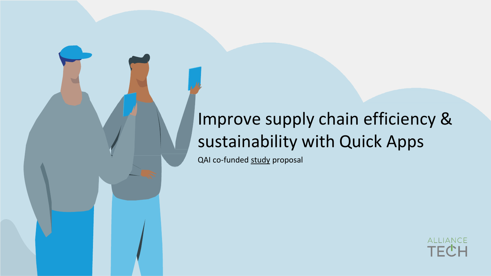### Improve supply chain efficiency & sustainability with Quick Apps

QAI co-funded study proposal

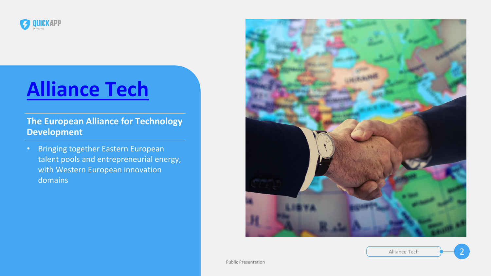

### **[Alliance Tech](https://alliance-tech.org/)**

#### **The European Alliance for Technology Development**

• Bringing together Eastern European talent pools and entrepreneurial energy, with Western European innovation domains

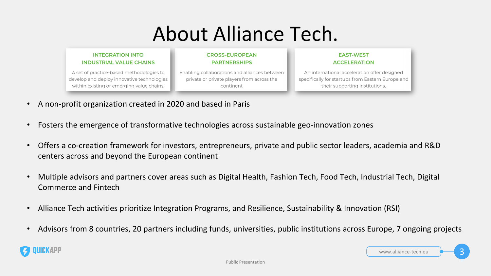## About Alliance Tech.

#### **INTEGRATION INTO INDUSTRIAL VALUE CHAINS**

**CROSS-EUROPEAN PARTNERSHIPS** 

A set of practice-based methodologies to develop and deploy innovative technologies within existing or emerging value chains.

Enabling collaborations and alliances between private or private players from across the continent

www.alliance-tech.eu

- A non-profit organization created in 2020 and based in Paris
- Fosters the emergence of transformative technologies across sustainable geo-innovation zones
- Offers a co-creation framework for investors, entrepreneurs, private and public sector leaders, academia and R&D centers across and beyond the European continent
- Multiple advisors and partners cover areas such as Digital Health, Fashion Tech, Food Tech, Industrial Tech, Digital Commerce and Fintech
- Alliance Tech activities prioritize Integration Programs, and Resilience, Sustainability & Innovation (RSI)
- Advisors from 8 countries, 20 partners including funds, universities, public institutions across Europe, 7 ongoing projects



#### **EAST-WEST ACCELERATION**

An international acceleration offer designed specifically for startups from Eastern Europe and their supporting institutions.

3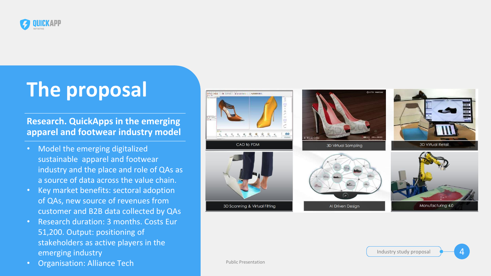

### **The proposal**

#### **Research. QuickApps in the emerging apparel and footwear industry model**



4

- Model the emerging digitalized sustainable apparel and footwear industry and the place and role of QAs as a source of data across the value chain.
- Key market benefits: sectoral adoption of QAs, new source of revenues from customer and B2B data collected by QAs
- Research duration: 3 months. Costs Eur 51,200. Output: positioning of stakeholders as active players in the emerging industry
- Organisation: Alliance Tech





3D Scanning & Virtual Fitting

Industry study proposal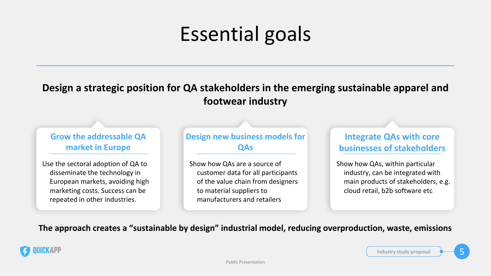### **Design a strategic position for QA stakeholders in the emerging sustainable apparel and footwear industry**

#### **The approach creates a "sustainable by design" industrial model, reducing overproduction, waste, emissions**



## Essential goals

### **Integrate QAs with core businesses of stakeholders**

5

Show how QAs, within particular industry, can be integrated with main products of stakeholders, e.g. cloud retail, b2b software etc

Industry study proposal

#### **Grow the addressable QA market in Europe**

Use the sectoral adoption of QA to disseminate the technology in European markets, avoiding high marketing costs. Success can be repeated in other industries.

#### **Design new business models for QAs**

Show how QAs are a source of customer data for all participants of the value chain from designers to material suppliers to manufacturers and retailers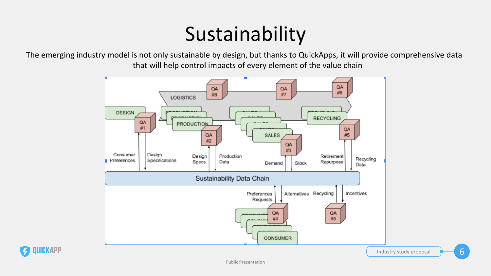# Sustainability

The emerging industry model is not only sustainable by design, but thanks to QuickApps, it will provide comprehensive data that will help control impacts of every element of the value chain



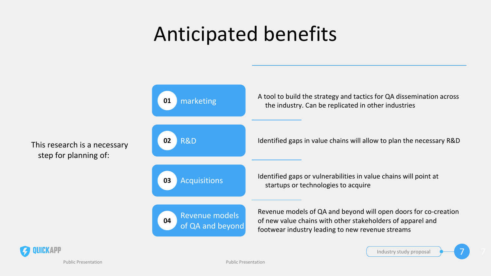## Anticipated benefits

Public Presentation



This research is a necessary

step for planning of:

**01 02 03 04** R&D Acquisitions Revenue models of QA and beyond A tool to build the strategy and tactics for QA dissemination across marketing and the industry. Can be replicated in other industries marketing Identified gaps in value chains will allow to plan the necessary R&D Identified gaps or vulnerabilities in value chains will point at startups or technologies to acquire Revenue models of QA and beyond will open doors for co-creation of new value chains with other stakeholders of apparel and footwear industry leading to new revenue streams



Public Presentation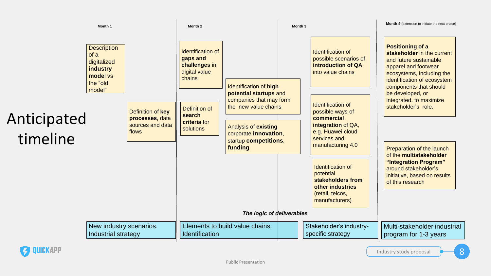**Month 4** (extension to initiate the next phase)

Identification of possible scenarios of **introduction of QA** into value chains





Identification of possible ways of **commercial integration** of QA, e.g. Huawei cloud services and manufacturing 4.0

**Positioning of a stakeholder** in the current and future sustainable apparel and footwear ecosystems, including the identification of ecosystem components that should be developed, or integrated, to maximize stakeholder's role.

Preparation of the launch of the **multistakeholder "Integration Program"**  around stakeholder's initiative, based on results of this research

Identification of potential **stakeholders from other industries**  (retail, telcos, manufacturers)

Stakeholder's industryspecific strategy

Multi-stakeholder industrial program for 1-3 years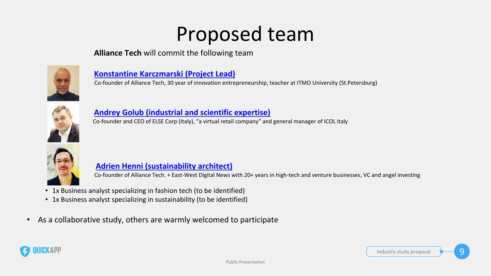### Proposed team

#### **Alliance Tech** will commit the following team



#### **[Konstantine Karczmarski \(Project Lead\)](https://www.linkedin.com/in/konstantine-karczmarski-5a352618/)**

• Co-founder of Alliance Tech, 30 year of innovation entrepreneurship, teacher at ITMO University (St.Petersburg)



#### **[Andrey Golub \(industrial and scientific expertise\)](https://www.linkedin.com/in/andreygolub/)**

• Co-founder and CEO of ELSE Corp (Italy), "a virtual retail company" and general manager of ICOL Italy





#### **[Adrien Henni \(sustainability architect\)](https://www.linkedin.com/in/adrien7105/)**

• Co-founder of Alliance Tech. + East-West Digital News with 20+ years in high-tech and venture businesses, VC and angel investing

- 1x Business analyst specializing in fashion tech (to be identified)
- 1x Business analyst specializing in sustainability (to be identified)
- As a collaborative study, others are warmly welcomed to participate

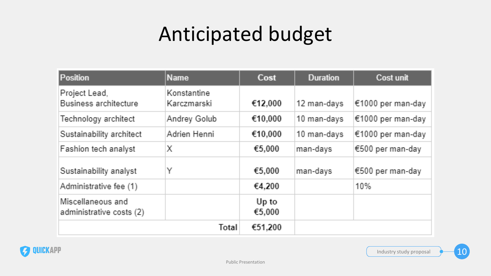# Anticipated budget

| Position                                      | <b>Name</b>                | Cost            | <b>Duration</b> | Cost unit         |
|-----------------------------------------------|----------------------------|-----------------|-----------------|-------------------|
| Project Lead,<br>Business architecture        | Konstantine<br>Karczmarski | €12,000         | 12 man-days     | €1000 per man-day |
| Technology architect                          | Andrey Golub               | €10,000         | 10 man-days     | €1000 per man-day |
| Sustainability architect                      | Adrien Henni               | €10,000         | 10 man-days     | €1000 per man-day |
| Fashion tech analyst                          | Х                          | €5,000          | man-days        | €500 per man-day  |
| Sustainability analyst                        | Υ                          | €5,000          | man-days        | €500 per man-day  |
| Administrative fee (1)                        |                            | €4,200          |                 | 10%               |
| Miscellaneous and<br>administrative costs (2) |                            | Up to<br>€5,000 |                 |                   |
|                                               | Total                      | €51,200         |                 |                   |